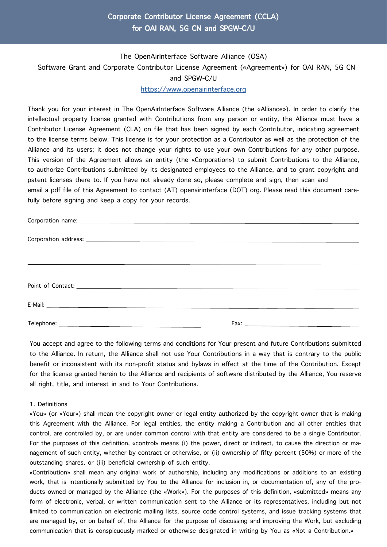## Corporate Contributor License Agreement (CCLA) for OAI RAN, 5G CN and SPGW-C/U

# The OpenAirInterface Software Alliance (OSA) Software Grant and Corporate Contributor License Agreement («Agreement») for OAI RAN, 5G CN and SPGW-C/U

#### [https://www.openairinterface.org](https://openairinterface.org/)

Thank you for your interest in The OpenAirInterface Software Alliance (the «Alliance»). In order to clarify the intellectual property license granted with Contributions from any person or entity, the Alliance must have a Contributor License Agreement (CLA) on file that has been signed by each Contributor, indicating agreement to the license terms below. This license is for your protection as a Contributor as well as the protection of the Alliance and its users; it does not change your rights to use your own Contributions for any other purpose. This version of the Agreement allows an entity (the «Corporation») to submit Contributions to the Alliance, to authorize Contributions submitted by its designated employees to the Alliance, and to grant copyright and patent licenses there to. If you have not already done so, please complete and sign, then scan and email a pdf file of this Agreement to contact (AT) openairinterface (DOT) org. Please read this document carefully before signing and keep a copy for your records.

You accept and agree to the following terms and conditions for Your present and future Contributions submitted to the Alliance. In return, the Alliance shall not use Your Contributions in a way that is contrary to the public benefit or inconsistent with its non-profit status and bylaws in effect at the time of the Contribution. Except for the license granted herein to the Alliance and recipients of software distributed by the Alliance, You reserve all right, title, and interest in and to Your Contributions.

#### 1. Definitions

«You» (or «Your») shall mean the copyright owner or legal entity authorized by the copyright owner that is making this Agreement with the Alliance. For legal entities, the entity making a Contribution and all other entities that control, are controlled by, or are under common control with that entity are considered to be a single Contributor. For the purposes of this definition, «control» means (i) the power, direct or indirect, to cause the direction or management of such entity, whether by contract or otherwise, or (ii) ownership of fifty percent (50%) or more of the outstanding shares, or (iii) beneficial ownership of such entity.

«Contribution» shall mean any original work of authorship, including any modifications or additions to an existing work, that is intentionally submitted by You to the Alliance for inclusion in, or documentation of, any of the products owned or managed by the Alliance (the «Work»). For the purposes of this definition, «submitted» means any form of electronic, verbal, or written communication sent to the Alliance or its representatives, including but not limited to communication on electronic mailing lists, source code control systems, and issue tracking systems that are managed by, or on behalf of, the Alliance for the purpose of discussing and improving the Work, but excluding communication that is conspicuously marked or otherwise designated in writing by You as «Not a Contribution.»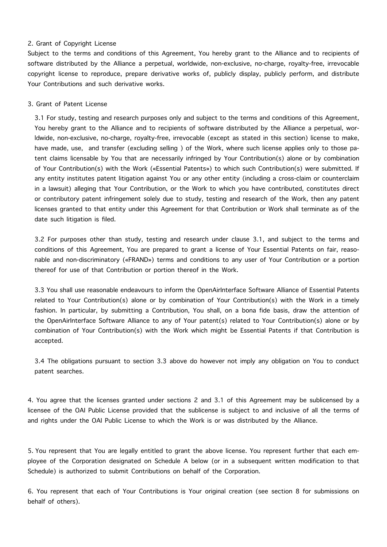#### 2. Grant of Copyright License

Subject to the terms and conditions of this Agreement, You hereby grant to the Alliance and to recipients of software distributed by the Alliance a perpetual, worldwide, non-exclusive, no-charge, royalty-free, irrevocable copyright license to reproduce, prepare derivative works of, publicly display, publicly perform, and distribute Your Contributions and such derivative works.

#### 3. Grant of Patent License

3.1 For study, testing and research purposes only and subject to the terms and conditions of this Agreement, You hereby grant to the Alliance and to recipients of software distributed by the Alliance a perpetual, worldwide, non-exclusive, no-charge, royalty-free, irrevocable (except as stated in this section) license to make, have made, use, and transfer (excluding selling ) of the Work, where such license applies only to those patent claims licensable by You that are necessarily infringed by Your Contribution(s) alone or by combination of Your Contribution(s) with the Work («Essential Patents») to which such Contribution(s) were submitted. If any entity institutes patent litigation against You or any other entity (including a cross-claim or counterclaim in a lawsuit) alleging that Your Contribution, or the Work to which you have contributed, constitutes direct or contributory patent infringement solely due to study, testing and research of the Work, then any patent licenses granted to that entity under this Agreement for that Contribution or Work shall terminate as of the date such litigation is filed.

3.2 For purposes other than study, testing and research under clause 3.1, and subject to the terms and conditions of this Agreement, You are prepared to grant a license of Your Essential Patents on fair, reasonable and non-discriminatory («FRAND») terms and conditions to any user of Your Contribution or a portion thereof for use of that Contribution or portion thereof in the Work.

3.3 You shall use reasonable endeavours to inform the OpenAirInterface Software Alliance of Essential Patents related to Your Contribution(s) alone or by combination of Your Contribution(s) with the Work in a timely fashion. In particular, by submitting a Contribution, You shall, on a bona fide basis, draw the attention of the OpenAirInterface Software Alliance to any of Your patent(s) related to Your Contribution(s) alone or by combination of Your Contribution(s) with the Work which might be Essential Patents if that Contribution is accepted.

3.4 The obligations pursuant to section 3.3 above do however not imply any obligation on You to conduct patent searches.

4. You agree that the licenses granted under sections 2 and 3.1 of this Agreement may be sublicensed by a licensee of the OAI Public License provided that the sublicense is subject to and inclusive of all the terms of and rights under the OAI Public License to which the Work is or was distributed by the Alliance.

5. You represent that You are legally entitled to grant the above license. You represent further that each employee of the Corporation designated on Schedule A below (or in a subsequent written modification to that Schedule) is authorized to submit Contributions on behalf of the Corporation.

6. You represent that each of Your Contributions is Your original creation (see section 8 for submissions on behalf of others).